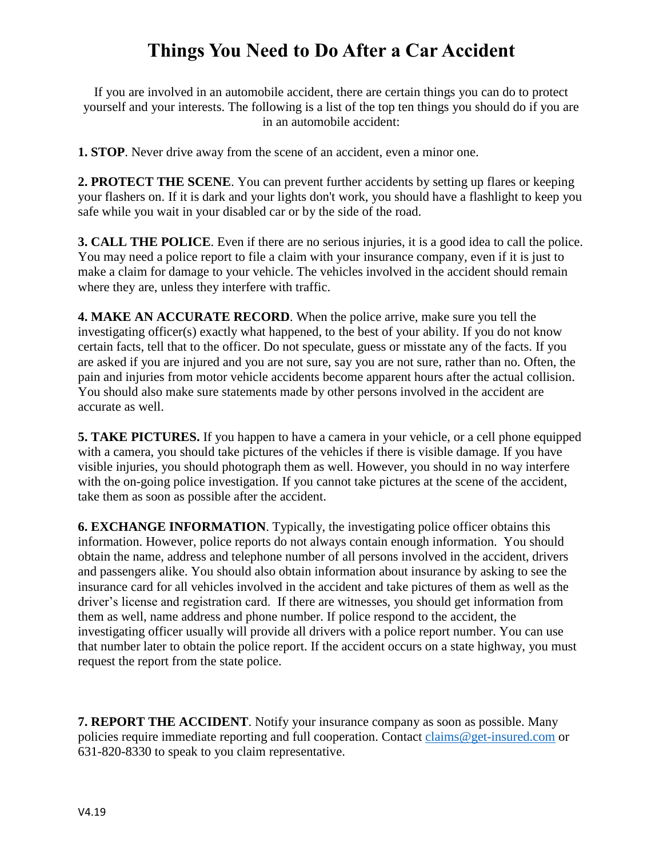## **Things You Need to Do After a Car Accident**

If you are involved in an automobile accident, there are certain things you can do to protect yourself and your interests. The following is a list of the top ten things you should do if you are in an automobile accident:

**1. STOP**. Never drive away from the scene of an accident, even a minor one.

**2. PROTECT THE SCENE**. You can prevent further accidents by setting up flares or keeping your flashers on. If it is dark and your lights don't work, you should have a flashlight to keep you safe while you wait in your disabled car or by the side of the road.

**3. CALL THE POLICE**. Even if there are no serious injuries, it is a good idea to call the police. You may need a police report to file a claim with your insurance company, even if it is just to make a claim for damage to your vehicle. The vehicles involved in the accident should remain where they are, unless they interfere with traffic.

**4. MAKE AN ACCURATE RECORD**. When the police arrive, make sure you tell the investigating officer(s) exactly what happened, to the best of your ability. If you do not know certain facts, tell that to the officer. Do not speculate, guess or misstate any of the facts. If you are asked if you are injured and you are not sure, say you are not sure, rather than no. Often, the pain and injuries from motor vehicle accidents become apparent hours after the actual collision. You should also make sure statements made by other persons involved in the accident are accurate as well.

**5. TAKE PICTURES.** If you happen to have a camera in your vehicle, or a cell phone equipped with a camera, you should take pictures of the vehicles if there is visible damage. If you have visible injuries, you should photograph them as well. However, you should in no way interfere with the on-going police investigation. If you cannot take pictures at the scene of the accident, take them as soon as possible after the accident.

**6. EXCHANGE INFORMATION**. Typically, the investigating police officer obtains this information. However, police reports do not always contain enough information. You should obtain the name, address and telephone number of all persons involved in the accident, drivers and passengers alike. You should also obtain information about insurance by asking to see the insurance card for all vehicles involved in the accident and take pictures of them as well as the driver's license and registration card. If there are witnesses, you should get information from them as well, name address and phone number. If police respond to the accident, the investigating officer usually will provide all drivers with a police report number. You can use that number later to obtain the police report. If the accident occurs on a state highway, you must request the report from the state police.

**7. REPORT THE ACCIDENT**. Notify your insurance company as soon as possible. Many policies require immediate reporting and full cooperation. Contact [claims@get-insured.com](mailto:claims@get-insured.com) or 631-820-8330 to speak to you claim representative.